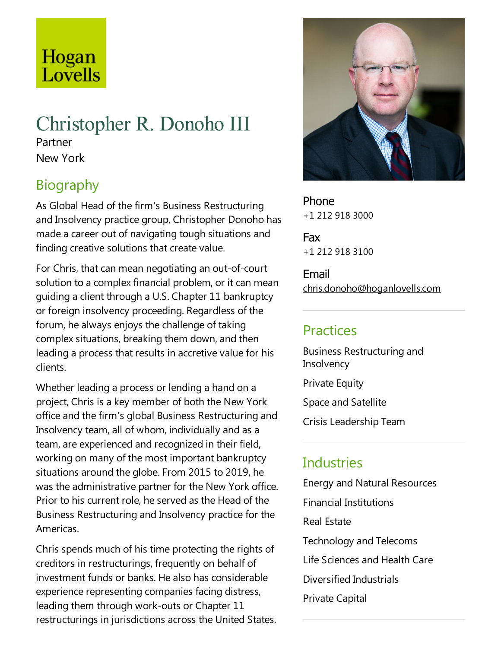# Hogan Lovells

# Christopher R. Donoho III

Partner New York

# Biography

As Global Head of the firm's Business Restructuring and Insolvency practice group, Christopher Donoho has made a career out of navigating tough situations and finding creative solutions that create value.

For Chris, that can mean negotiating an out-of-court solution to a complex financial problem, or it can mean guiding aclient through a U.S. Chapter 11 bankruptcy or foreign insolvency proceeding. Regardless of the forum, he always enjoys the challenge of taking complex situations, breaking them down, and then leading a process that results in accretive value for his clients.

Whether leading a process or lending a hand on a project, Chris is akey member of both the New York office and the firm's global Business Restructuring and Insolvency team, all of whom, individually and as a team, are experienced and recognized in their field, working on many of the most important bankruptcy situations around the globe. From 2015 to 2019, he was the administrative partner for the New York office. Prior to his current role, he served as the Head of the Business Restructuring and Insolvency practice for the Americas.

Chris spends much of his time protecting the rights of creditors in restructurings, frequently on behalf of investment funds or banks. He also has considerable experience representing companies facing distress, leading them through work-outs or Chapter 11 restructurings in jurisdictions across the United States.



Phone +1 212 918 3000

Fax +1 212 918 3100

Email chris.donoho@hoganlovells.com

## Practices

Business Restructuring and **Insolvency** 

**Private Equity** 

Space and Satellite

Crisis Leadership Team

## **Industries**

Energy and Natural Resources Financial Institutions Real Estate Technology and Telecoms Life Sciences and Health Care Diversified Industrials Private Capital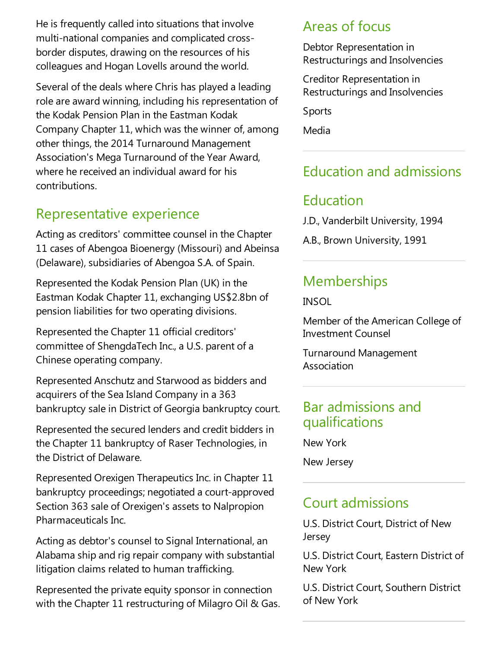He is frequently called into situations that involve multi-national companies and complicated crossborder disputes, drawing on the resources of his colleagues and Hogan Lovells around the world.

Several of the deals where Chris has played a leading role are award winning, including his representation of the Kodak Pension Plan in the Eastman Kodak Company Chapter 11, which was the winner of,among other things, the 2014 Turnaround Management Association's Mega Turnaround of the Year Award, where he received an individual award for his contributions.

## Representative experience

Acting as creditors' committee counsel in the Chapter 11 cases of Abengoa Bioenergy (Missouri) and Abeinsa (Delaware), subsidiaries of Abengoa S.A. of Spain.

Represented the Kodak Pension Plan (UK) in the Eastman Kodak Chapter 11, exchanging US\$2.8bn of pension liabilities for two operating divisions.

Represented the Chapter 11 official creditors' committee of ShengdaTech Inc., a U.S. parent of a Chinese operating company.

Represented Anschutz and Starwood as bidders and acquirers of the Sea Island Company in a 363 bankruptcy sale in District of Georgia bankruptcy court.

Represented the secured lenders and credit bidders in the Chapter 11 bankruptcy of Raser Technologies, in the District of Delaware.

Represented Orexigen Therapeutics Inc. in Chapter 11 bankruptcy proceedings; negotiated a court-approved Section 363 sale of Orexigen's assets to Nalpropion Pharmaceuticals Inc.

Acting as debtor's counsel to Signal International, an Alabama ship and rig repair company with substantial litigation claims related to human trafficking.

Represented the private equity sponsor in connection with the Chapter 11 restructuring of Milagro Oil & Gas.

### Areas of focus

Debtor Representation in Restructurings and Insolvencies

Creditor Representation in Restructurings and Insolvencies

Sports

Media

# Education and admissions

## Education

J.D., Vanderbilt University, 1994

A.B., Brown University, 1991

## **Memberships**

INSOL

Member of the American College of Investment Counsel

Turnaround Management Association

### Bar admissions and qualifications

New York

New Jersey

## Court admissions

U.S. District Court, District of New Jersey

U.S. District Court, Eastern District of New York

U.S. District Court, Southern District of New York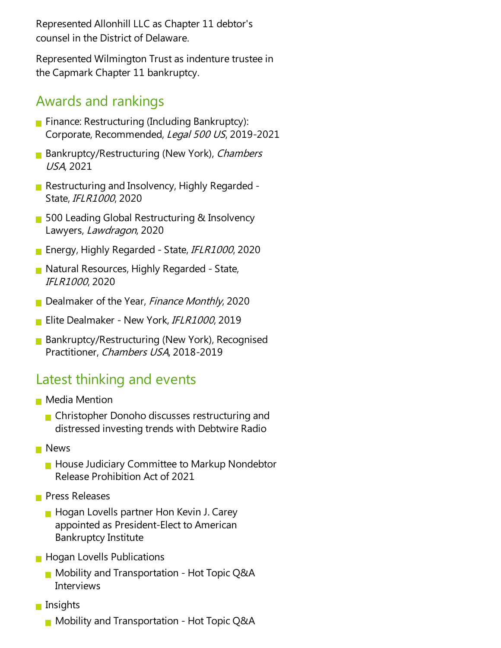Represented Allonhill LLC as Chapter 11 debtor's counsel in the District of Delaware.

Represented Wilmington Trust as indenture trustee in the Capmark Chapter 11 bankruptcy.

### Awards and rankings

- Finance: Restructuring (Including Bankruptcy): Corporate, Recommended, Legal 500 US, 2019-2021
- **Bankruptcy/Restructuring (New York), Chambers** USA, 2021
- Restructuring and Insolvency, Highly Regarded -State, IFLR1000, 2020
- 500 Leading Global Restructuring & Insolvency Lawyers, Lawdragon, 2020
- **Energy, Highly Regarded State, IFLR1000, 2020**
- Natural Resources, Highly Regarded State, IFLR1000, 2020
- Dealmaker of the Year, Finance Monthly, 2020
- Elite Dealmaker New York, IFLR1000, 2019
- **Bankruptcy/Restructuring (New York), Recognised** Practitioner, Chambers USA, 2018-2019

### Latest thinking and events

- **Media Mention** 
	- **n** Christopher Donoho discusses restructuring and distressed investing trends with Debtwire Radio
- **News** 
	- $\blacksquare$  House Judiciary Committee to Markup Nondebtor Release Prohibition Act of 2021
- **Press Releases** 
	- **Hogan Lovells partner Hon Kevin J. Carey** appointed as President-Elect to American Bankruptcy Institute
- **Hogan Lovells Publications** 
	- $\blacksquare$  Mobility and Transportation Hot Topic Q&A **Interviews**
- $\blacksquare$  Insights
	- $\blacksquare$  Mobility and Transportation Hot Topic Q&A